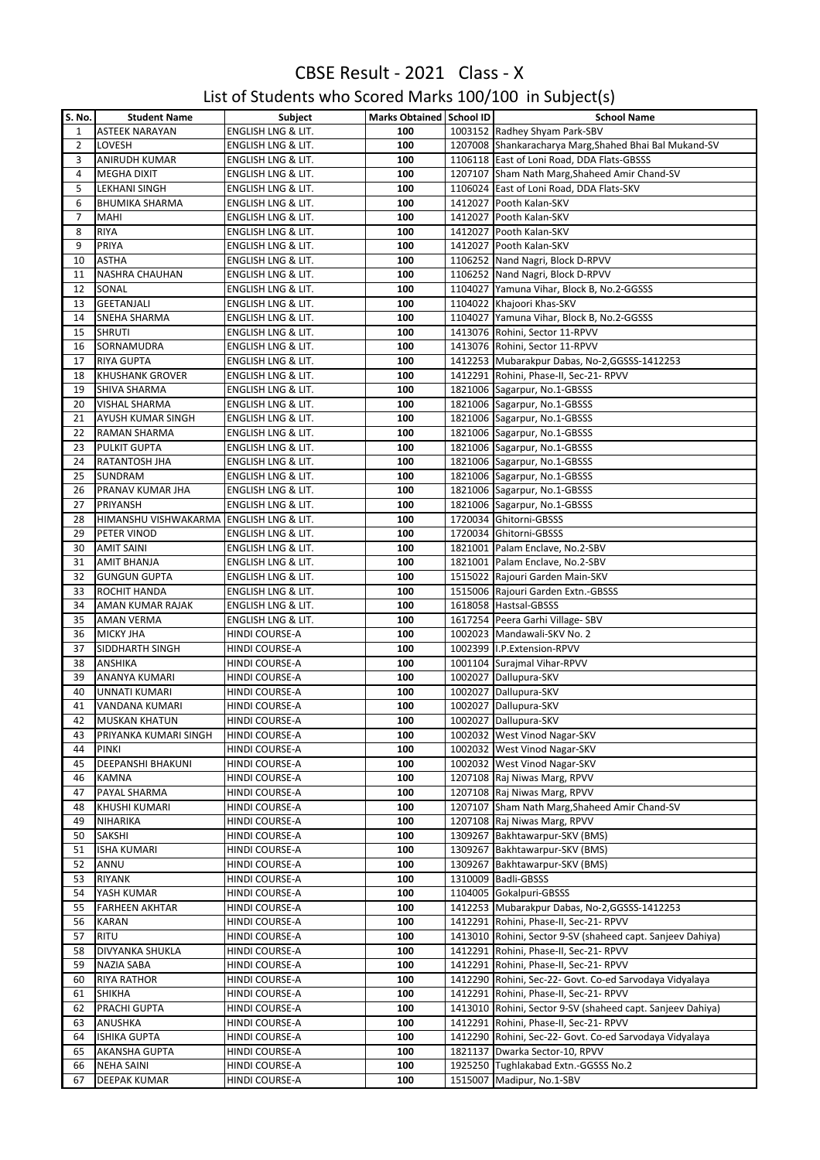#### List of Students who Scored Marks 100/100 in Subject(s)

| <b>S. No.</b>  | <b>Student Name</b>                     | Subject                       | Marks Obtained   School ID |         | <b>School Name</b>                                         |
|----------------|-----------------------------------------|-------------------------------|----------------------------|---------|------------------------------------------------------------|
| $\mathbf{1}$   | <b>ASTEEK NARAYAN</b>                   | ENGLISH LNG & LIT.            | 100                        |         | 1003152 Radhey Shyam Park-SBV                              |
| $\overline{2}$ | LOVESH                                  | ENGLISH LNG & LIT.            | 100                        |         | 1207008 Shankaracharya Marg, Shahed Bhai Bal Mukand-SV     |
| 3              | ANIRUDH KUMAR                           | ENGLISH LNG & LIT.            | 100                        |         | 1106118 East of Loni Road, DDA Flats-GBSSS                 |
|                |                                         |                               |                            |         |                                                            |
| 4              | <b>MEGHA DIXIT</b>                      | ENGLISH LNG & LIT.            | 100                        |         | 1207107 Sham Nath Marg, Shaheed Amir Chand-SV              |
| 5              | LEKHANI SINGH                           | ENGLISH LNG & LIT.            | 100                        |         | 1106024 East of Loni Road, DDA Flats-SKV                   |
| 6              | <b>BHUMIKA SHARMA</b>                   | ENGLISH LNG & LIT.            | 100                        |         | 1412027 Pooth Kalan-SKV                                    |
| 7              | MAHI                                    | ENGLISH LNG & LIT.            | 100                        |         | 1412027 Pooth Kalan-SKV                                    |
| 8              | <b>RIYA</b>                             | ENGLISH LNG & LIT.            | 100                        |         | 1412027 Pooth Kalan-SKV                                    |
| 9              | PRIYA                                   | ENGLISH LNG & LIT.            | 100                        |         | 1412027 Pooth Kalan-SKV                                    |
| 10             | <b>ASTHA</b>                            | ENGLISH LNG & LIT.            | 100                        |         | 1106252 Nand Nagri, Block D-RPVV                           |
| 11             | <b>NASHRA CHAUHAN</b>                   | ENGLISH LNG & LIT.            | 100                        |         | 1106252 Nand Nagri, Block D-RPVV                           |
| 12             | SONAL                                   | ENGLISH LNG & LIT.            | 100                        |         | 1104027 Yamuna Vihar, Block B, No.2-GGSSS                  |
| 13             | <b>GEETANJALI</b>                       | ENGLISH LNG & LIT.            | 100                        |         | 1104022 Khajoori Khas-SKV                                  |
|                |                                         |                               |                            |         |                                                            |
| 14             | <b>SNEHA SHARMA</b>                     | ENGLISH LNG & LIT.            | 100                        |         | 1104027 Yamuna Vihar, Block B, No.2-GGSSS                  |
| 15             | <b>SHRUTI</b>                           | ENGLISH LNG & LIT.            | 100                        |         | 1413076 Rohini, Sector 11-RPVV                             |
| 16             | SORNAMUDRA                              | ENGLISH LNG & LIT.            | 100                        |         | 1413076 Rohini, Sector 11-RPVV                             |
| 17             | <b>RIYA GUPTA</b>                       | ENGLISH LNG & LIT.            | 100                        |         | 1412253 Mubarakpur Dabas, No-2, GGSSS-1412253              |
| 18             | <b>KHUSHANK GROVER</b>                  | <b>ENGLISH LNG &amp; LIT.</b> | 100                        |         | 1412291 Rohini, Phase-II, Sec-21- RPVV                     |
| 19             | SHIVA SHARMA                            | ENGLISH LNG & LIT.            | 100                        |         | 1821006 Sagarpur, No.1-GBSSS                               |
| 20             | <b>VISHAL SHARMA</b>                    | ENGLISH LNG & LIT.            | 100                        |         | 1821006 Sagarpur, No.1-GBSSS                               |
| 21             | AYUSH KUMAR SINGH                       | ENGLISH LNG & LIT.            | 100                        |         | 1821006 Sagarpur, No.1-GBSSS                               |
| 22             | RAMAN SHARMA                            | ENGLISH LNG & LIT.            | 100                        |         | 1821006 Sagarpur, No.1-GBSSS                               |
| 23             | <b>PULKIT GUPTA</b>                     | ENGLISH LNG & LIT.            | 100                        |         | 1821006 Sagarpur, No.1-GBSSS                               |
|                |                                         |                               |                            |         |                                                            |
| 24             | RATANTOSH JHA                           | ENGLISH LNG & LIT.            | 100                        |         | 1821006 Sagarpur, No.1-GBSSS                               |
| 25             | <b>SUNDRAM</b>                          | <b>ENGLISH LNG &amp; LIT.</b> | 100                        |         | 1821006 Sagarpur, No.1-GBSSS                               |
| 26             | PRANAV KUMAR JHA                        | ENGLISH LNG & LIT.            | 100                        |         | 1821006 Sagarpur, No.1-GBSSS                               |
| 27             | PRIYANSH                                | <b>ENGLISH LNG &amp; LIT.</b> | 100                        |         | 1821006 Sagarpur, No.1-GBSSS                               |
| 28             | HIMANSHU VISHWAKARMA ENGLISH LNG & LIT. |                               | 100                        |         | 1720034 Ghitorni-GBSSS                                     |
| 29             | PETER VINOD                             | ENGLISH LNG & LIT.            | 100                        |         | 1720034 Ghitorni-GBSSS                                     |
| 30             | <b>AMIT SAINI</b>                       | ENGLISH LNG & LIT.            | 100                        |         | 1821001 Palam Enclave, No.2-SBV                            |
| 31             | <b>AMIT BHANJA</b>                      | ENGLISH LNG & LIT.            | 100                        |         | 1821001 Palam Enclave, No.2-SBV                            |
| 32             | <b>GUNGUN GUPTA</b>                     | ENGLISH LNG & LIT.            | 100                        |         | 1515022 Rajouri Garden Main-SKV                            |
| 33             | <b>ROCHIT HANDA</b>                     |                               | 100                        |         | 1515006 Rajouri Garden Extn.-GBSSS                         |
|                |                                         | ENGLISH LNG & LIT.            |                            |         |                                                            |
| 34             | AMAN KUMAR RAJAK                        | ENGLISH LNG & LIT.            | 100                        |         | 1618058 Hastsal-GBSSS                                      |
| 35             | <b>AMAN VERMA</b>                       | ENGLISH LNG & LIT.            | 100                        |         | 1617254 Peera Garhi Village- SBV                           |
| 36             | <b>MICKY JHA</b>                        | HINDI COURSE-A                | 100                        |         | 1002023 Mandawali-SKV No. 2                                |
| 37             | SIDDHARTH SINGH                         | HINDI COURSE-A                | 100                        |         | 1002399 I.P. Extension-RPVV                                |
| 38             | ANSHIKA                                 | HINDI COURSE-A                | 100                        |         | 1001104 Surajmal Vihar-RPVV                                |
| 39             | ANANYA KUMARI                           | HINDI COURSE-A                | 100                        |         | 1002027 Dallupura-SKV                                      |
| 40             | <b>UNNATI KUMARI</b>                    | HINDI COURSE-A                | 100                        |         | 1002027 Dallupura-SKV                                      |
| 41             | <b>VANDANA KUMARI</b>                   | HINDI COURSE-A                | 100                        |         | 1002027 Dallupura-SKV                                      |
| 42             | <b>MUSKAN KHATUN</b>                    | <b>HINDI COURSE-A</b>         | 100                        |         | 1002027 Dallupura-SKV                                      |
| 43             | PRIYANKA KUMARI SINGH                   | <b>HINDI COURSE-A</b>         | 100                        |         | 1002032 West Vinod Nagar-SKV                               |
|                |                                         |                               |                            |         |                                                            |
| 44             | PINKI                                   | HINDI COURSE-A                | 100                        |         | 1002032 West Vinod Nagar-SKV                               |
| 45             | DEEPANSHI BHAKUNI                       | HINDI COURSE-A                | 100                        |         | 1002032 West Vinod Nagar-SKV                               |
| 46             | <b>KAMNA</b>                            | <b>HINDI COURSE-A</b>         | 100                        |         | 1207108 Raj Niwas Marg, RPVV                               |
| 47             | PAYAL SHARMA                            | HINDI COURSE-A                | 100                        |         | 1207108 Raj Niwas Marg, RPVV                               |
| 48             | KHUSHI KUMARI                           | HINDI COURSE-A                | 100                        |         | 1207107 Sham Nath Marg, Shaheed Amir Chand-SV              |
| 49             | NIHARIKA                                | HINDI COURSE-A                | 100                        |         | 1207108 Raj Niwas Marg, RPVV                               |
| 50             | SAKSHI                                  | HINDI COURSE-A                | 100                        |         | 1309267 Bakhtawarpur-SKV (BMS)                             |
| 51             | <b>ISHA KUMARI</b>                      | HINDI COURSE-A                | 100                        |         | 1309267 Bakhtawarpur-SKV (BMS)                             |
| 52             | ANNU                                    | HINDI COURSE-A                | 100                        |         | 1309267 Bakhtawarpur-SKV (BMS)                             |
| 53             | <b>RIYANK</b>                           | HINDI COURSE-A                | 100                        |         | 1310009 Badli-GBSSS                                        |
| 54             | YASH KUMAR                              | HINDI COURSE-A                | 100                        |         | 1104005 Gokalpuri-GBSSS                                    |
|                |                                         |                               |                            |         |                                                            |
| 55             | <b>FARHEEN AKHTAR</b>                   | HINDI COURSE-A                | 100                        |         | 1412253 Mubarakpur Dabas, No-2, GGSSS-1412253              |
| 56             | <b>KARAN</b>                            | HINDI COURSE-A                | 100                        |         | 1412291 Rohini, Phase-II, Sec-21- RPVV                     |
| 57             | <b>RITU</b>                             | HINDI COURSE-A                | 100                        |         | 1413010 Rohini, Sector 9-SV (shaheed capt. Sanjeev Dahiya) |
| 58             | DIVYANKA SHUKLA                         | HINDI COURSE-A                | 100                        |         | 1412291 Rohini, Phase-II, Sec-21- RPVV                     |
| 59             | NAZIA SABA                              | HINDI COURSE-A                | 100                        |         | 1412291 Rohini, Phase-II, Sec-21- RPVV                     |
| 60             | <b>RIYA RATHOR</b>                      | HINDI COURSE-A                | 100                        |         | 1412290 Rohini, Sec-22- Govt. Co-ed Sarvodaya Vidyalaya    |
| 61             | <b>SHIKHA</b>                           | HINDI COURSE-A                | 100                        |         | 1412291 Rohini, Phase-II, Sec-21- RPVV                     |
| 62             | PRACHI GUPTA                            | HINDI COURSE-A                | 100                        |         | 1413010 Rohini, Sector 9-SV (shaheed capt. Sanjeev Dahiya) |
| 63             | ANUSHKA                                 | HINDI COURSE-A                | 100                        |         | 1412291 Rohini, Phase-II, Sec-21- RPVV                     |
| 64             | <b>ISHIKA GUPTA</b>                     | HINDI COURSE-A                | 100                        |         | 1412290 Rohini, Sec-22- Govt. Co-ed Sarvodaya Vidyalaya    |
|                |                                         |                               |                            |         |                                                            |
| 65             | AKANSHA GUPTA                           | HINDI COURSE-A                | 100                        |         | 1821137 Dwarka Sector-10, RPVV                             |
| 66             | <b>NEHA SAINI</b>                       | HINDI COURSE-A                | 100                        |         | 1925250 Tughlakabad Extn.-GGSSS No.2                       |
| 67             | <b>DEEPAK KUMAR</b>                     | HINDI COURSE-A                | 100                        | 1515007 | Madipur, No.1-SBV                                          |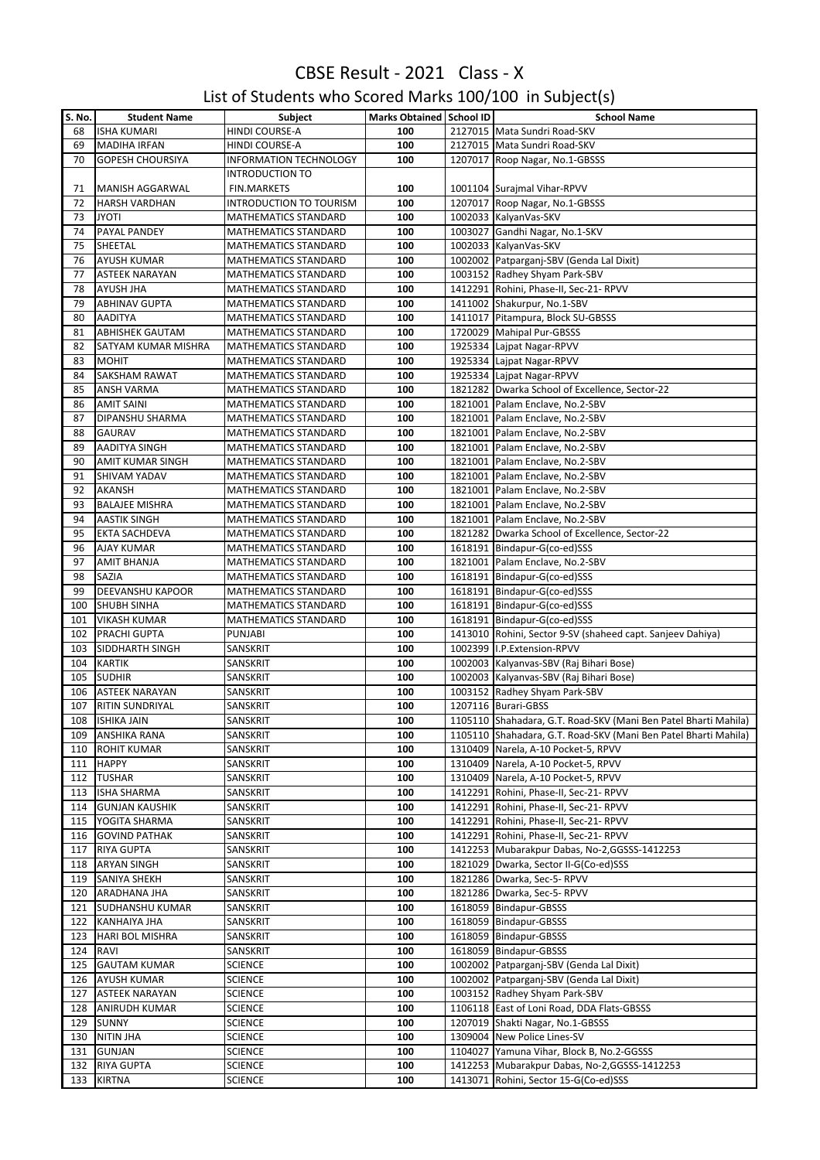| List of Students who Scored Marks 100/100 in Subject(s) |  |  |
|---------------------------------------------------------|--|--|
|---------------------------------------------------------|--|--|

| S. No. | <b>Student Name</b>     | Subject                        | Marks Obtained School ID | <b>School Name</b>                                              |
|--------|-------------------------|--------------------------------|--------------------------|-----------------------------------------------------------------|
| 68     | <b>ISHA KUMARI</b>      | HINDI COURSE-A                 | 100                      | 2127015 Mata Sundri Road-SKV                                    |
| 69     | <b>MADIHA IRFAN</b>     | HINDI COURSE-A                 | 100                      | 2127015 Mata Sundri Road-SKV                                    |
| 70     | <b>GOPESH CHOURSIYA</b> | <b>INFORMATION TECHNOLOGY</b>  | 100                      | 1207017 Roop Nagar, No.1-GBSSS                                  |
|        |                         | <b>INTRODUCTION TO</b>         |                          |                                                                 |
| 71     | <b>MANISH AGGARWAL</b>  | <b>FIN.MARKETS</b>             | 100                      | 1001104 Suraimal Vihar-RPVV                                     |
| 72     | <b>HARSH VARDHAN</b>    | <b>INTRODUCTION TO TOURISM</b> | 100                      | 1207017 Roop Nagar, No.1-GBSSS                                  |
| 73     | <b>JYOTI</b>            | MATHEMATICS STANDARD           | 100                      | 1002033 KalyanVas-SKV                                           |
| 74     | PAYAL PANDEY            | MATHEMATICS STANDARD           | 100                      | 1003027 Gandhi Nagar, No.1-SKV                                  |
| 75     | SHEETAL                 | MATHEMATICS STANDARD           | 100                      | 1002033 KalyanVas-SKV                                           |
| 76     | <b>AYUSH KUMAR</b>      | MATHEMATICS STANDARD           | 100                      | 1002002 Patparganj-SBV (Genda Lal Dixit)                        |
| 77     | <b>ASTEEK NARAYAN</b>   |                                | 100                      | 1003152 Radhey Shyam Park-SBV                                   |
|        |                         | MATHEMATICS STANDARD           |                          |                                                                 |
| 78     | AYUSH JHA               | MATHEMATICS STANDARD           | 100                      | 1412291 Rohini, Phase-II, Sec-21- RPVV                          |
| 79     | <b>ABHINAV GUPTA</b>    | MATHEMATICS STANDARD           | 100                      | 1411002 Shakurpur, No.1-SBV                                     |
| 80     | <b>AADITYA</b>          | MATHEMATICS STANDARD           | 100                      | 1411017 Pitampura, Block SU-GBSSS                               |
| 81     | <b>ABHISHEK GAUTAM</b>  | MATHEMATICS STANDARD           | 100                      | 1720029 Mahipal Pur-GBSSS                                       |
| 82     | SATYAM KUMAR MISHRA     | MATHEMATICS STANDARD           | 100                      | 1925334 Lajpat Nagar-RPVV                                       |
| 83     | <b>MOHIT</b>            | MATHEMATICS STANDARD           | 100                      | 1925334 Lajpat Nagar-RPVV                                       |
| 84     | <b>SAKSHAM RAWAT</b>    | MATHEMATICS STANDARD           | 100                      | 1925334 Lajpat Nagar-RPVV                                       |
| 85     | <b>ANSH VARMA</b>       | MATHEMATICS STANDARD           | 100                      | 1821282 Dwarka School of Excellence, Sector-22                  |
| 86     | <b>AMIT SAINI</b>       | MATHEMATICS STANDARD           | 100                      | 1821001 Palam Enclave, No.2-SBV                                 |
| 87     | DIPANSHU SHARMA         | MATHEMATICS STANDARD           | 100                      | 1821001 Palam Enclave, No.2-SBV                                 |
| 88     | <b>GAURAV</b>           | MATHEMATICS STANDARD           | 100                      | 1821001 Palam Enclave, No.2-SBV                                 |
| 89     | <b>AADITYA SINGH</b>    | MATHEMATICS STANDARD           | 100                      | 1821001 Palam Enclave, No.2-SBV                                 |
| 90     | <b>AMIT KUMAR SINGH</b> | <b>MATHEMATICS STANDARD</b>    | 100                      | 1821001 Palam Enclave, No.2-SBV                                 |
| 91     | SHIVAM YADAV            | MATHEMATICS STANDARD           | 100                      | 1821001 Palam Enclave, No.2-SBV                                 |
|        |                         |                                |                          |                                                                 |
| 92     | <b>AKANSH</b>           | MATHEMATICS STANDARD           | 100                      | 1821001 Palam Enclave, No.2-SBV                                 |
| 93     | <b>BALAJEE MISHRA</b>   | MATHEMATICS STANDARD           | 100                      | 1821001 Palam Enclave, No.2-SBV                                 |
| 94     | <b>AASTIK SINGH</b>     | MATHEMATICS STANDARD           | 100                      | 1821001 Palam Enclave, No.2-SBV                                 |
| 95     | <b>EKTA SACHDEVA</b>    | MATHEMATICS STANDARD           | 100                      | 1821282 Dwarka School of Excellence, Sector-22                  |
| 96     | AJAY KUMAR              | MATHEMATICS STANDARD           | 100                      | 1618191 Bindapur-G(co-ed)SSS                                    |
| 97     | <b>AMIT BHANJA</b>      | MATHEMATICS STANDARD           | 100                      | 1821001 Palam Enclave, No.2-SBV                                 |
| 98     | SAZIA                   | MATHEMATICS STANDARD           | 100                      | 1618191   Bindapur-G(co-ed) SSS                                 |
| 99     | DEEVANSHU KAPOOR        | MATHEMATICS STANDARD           | 100                      | 1618191   Bindapur-G(co-ed) SSS                                 |
| 100    | <b>SHUBH SINHA</b>      | MATHEMATICS STANDARD           | 100                      | 1618191 Bindapur-G(co-ed)SSS                                    |
| 101    | <b>VIKASH KUMAR</b>     | MATHEMATICS STANDARD           | 100                      | 1618191 Bindapur-G(co-ed)SSS                                    |
| 102    | PRACHI GUPTA            | <b>PUNJABI</b>                 | 100                      | 1413010 Rohini, Sector 9-SV (shaheed capt. Sanjeev Dahiya)      |
| 103    | SIDDHARTH SINGH         | SANSKRIT                       | 100                      | 1002399 I.P.Extension-RPVV                                      |
| 104    | <b>KARTIK</b>           | SANSKRIT                       | 100                      | 1002003 Kalyanvas-SBV (Raj Bihari Bose)                         |
| 105    | <b>SUDHIR</b>           | SANSKRIT                       | 100                      | 1002003 Kalyanvas-SBV (Raj Bihari Bose)                         |
|        |                         |                                |                          |                                                                 |
| 106    | <b>ASTEEK NARAYAN</b>   | SANSKRIT                       | 100                      | 1003152 Radhey Shyam Park-SBV                                   |
| 107    | <b>RITIN SUNDRIYAL</b>  | SANSKRIT                       | 100                      | 1207116 Burari-GBSS                                             |
| 108    | <b>ISHIKA JAIN</b>      | SANSKRIT                       | 100                      | 1105110 Shahadara, G.T. Road-SKV (Mani Ben Patel Bharti Mahila) |
| 109    | <b>ANSHIKA RANA</b>     | SANSKRIT                       | 100                      | 1105110 Shahadara, G.T. Road-SKV (Mani Ben Patel Bharti Mahila) |
| 110    | <b>ROHIT KUMAR</b>      | SANSKRIT                       | 100                      | 1310409 Narela, A-10 Pocket-5, RPVV                             |
| 111    | <b>HAPPY</b>            | SANSKRIT                       | 100                      | 1310409 Narela, A-10 Pocket-5, RPVV                             |
| 112    | <b>TUSHAR</b>           | SANSKRIT                       | 100                      | 1310409 Narela, A-10 Pocket-5, RPVV                             |
| 113    | <b>ISHA SHARMA</b>      | SANSKRIT                       | 100                      | 1412291 Rohini, Phase-II, Sec-21- RPVV                          |
| 114    | <b>GUNJAN KAUSHIK</b>   | SANSKRIT                       | 100                      | 1412291 Rohini, Phase-II, Sec-21- RPVV                          |
| 115    | YOGITA SHARMA           | SANSKRIT                       | 100                      | 1412291 Rohini, Phase-II, Sec-21- RPVV                          |
| 116    | <b>GOVIND PATHAK</b>    | SANSKRIT                       | 100                      | 1412291 Rohini, Phase-II, Sec-21- RPVV                          |
| 117    | <b>RIYA GUPTA</b>       | SANSKRIT                       | 100                      | 1412253 Mubarakpur Dabas, No-2, GGSSS-1412253                   |
| 118    | <b>ARYAN SINGH</b>      | SANSKRIT                       | 100                      | 1821029 Dwarka, Sector II-G(Co-ed)SSS                           |
| 119    | <b>SANIYA SHEKH</b>     | SANSKRIT                       | 100                      | 1821286 Dwarka, Sec-5- RPVV                                     |
|        |                         |                                |                          |                                                                 |
| 120    | ARADHANA JHA            | SANSKRIT                       | 100                      | 1821286 Dwarka, Sec-5- RPVV                                     |
| 121    | SUDHANSHU KUMAR         | SANSKRIT                       | 100                      | 1618059 Bindapur-GBSSS                                          |
| 122    | <b>KANHAIYA JHA</b>     | SANSKRIT                       | 100                      | 1618059 Bindapur-GBSSS                                          |
| 123    | <b>HARI BOL MISHRA</b>  | SANSKRIT                       | 100                      | 1618059 Bindapur-GBSSS                                          |
| 124    | RAVI                    | SANSKRIT                       | 100                      | 1618059 Bindapur-GBSSS                                          |
| 125    | <b>GAUTAM KUMAR</b>     | <b>SCIENCE</b>                 | 100                      | 1002002 Patparganj-SBV (Genda Lal Dixit)                        |
| 126    | <b>AYUSH KUMAR</b>      | <b>SCIENCE</b>                 | 100                      | 1002002 Patparganj-SBV (Genda Lal Dixit)                        |
| 127    | <b>ASTEEK NARAYAN</b>   | <b>SCIENCE</b>                 | 100                      | 1003152 Radhey Shyam Park-SBV                                   |
| 128    | <b>ANIRUDH KUMAR</b>    | <b>SCIENCE</b>                 | 100                      | 1106118 East of Loni Road, DDA Flats-GBSSS                      |
| 129    | <b>SUNNY</b>            | <b>SCIENCE</b>                 | 100                      | 1207019 Shakti Nagar, No.1-GBSSS                                |
| 130    | <b>NITIN JHA</b>        | <b>SCIENCE</b>                 | 100                      | 1309004 New Police Lines-SV                                     |
| 131    | <b>GUNJAN</b>           | <b>SCIENCE</b>                 | 100                      | 1104027 Yamuna Vihar, Block B, No.2-GGSSS                       |
| 132    | <b>RIYA GUPTA</b>       | <b>SCIENCE</b>                 | 100                      | 1412253 Mubarakpur Dabas, No-2, GGSSS-1412253                   |
|        |                         |                                |                          |                                                                 |
| 133    | <b>KIRTNA</b>           | <b>SCIENCE</b>                 | 100                      | 1413071 Rohini, Sector 15-G(Co-ed)SSS                           |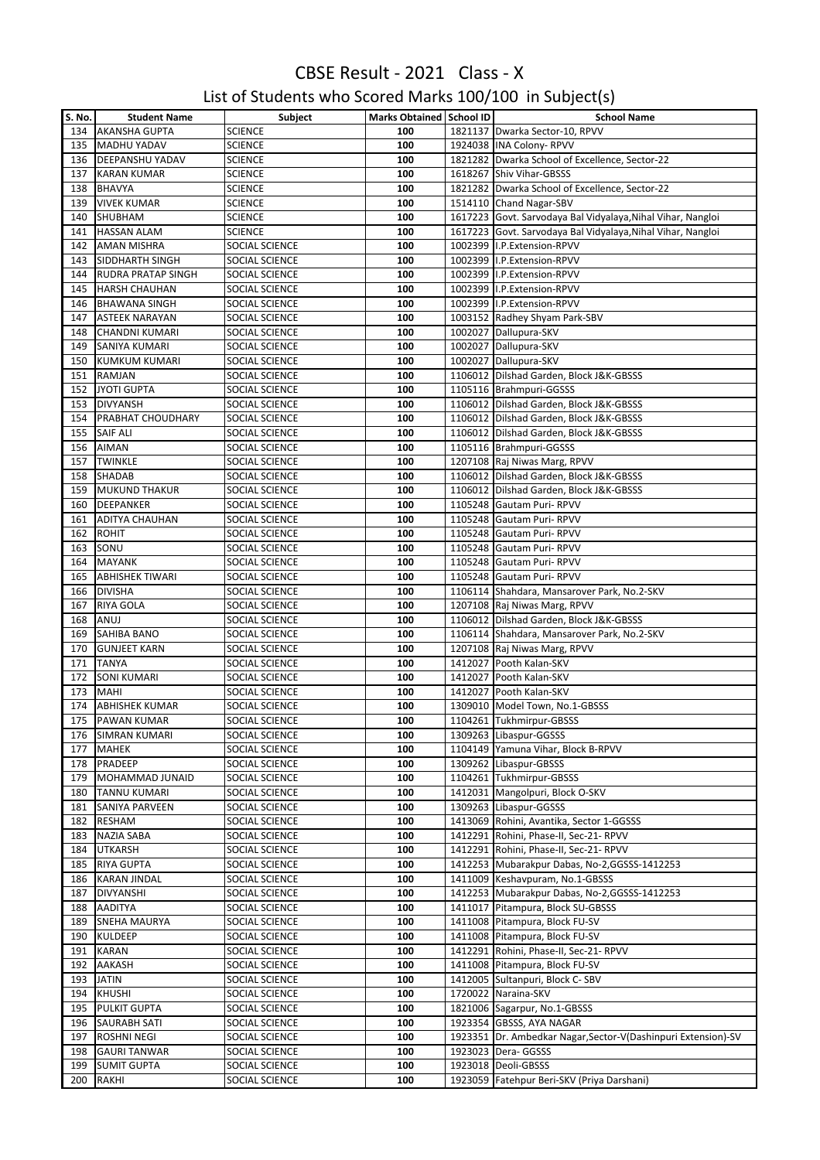#### List of Students who Scored Marks 100/100 in Subject(s)

| S. No. | <b>Student Name</b>       | Subject        | Marks Obtained School ID | <b>School Name</b>                                            |
|--------|---------------------------|----------------|--------------------------|---------------------------------------------------------------|
| 134    | <b>AKANSHA GUPTA</b>      | <b>SCIENCE</b> | 100                      | 1821137 Dwarka Sector-10, RPVV                                |
| 135    | <b>MADHU YADAV</b>        | <b>SCIENCE</b> | 100                      | 1924038 INA Colony-RPVV                                       |
| 136    | <b>DEEPANSHU YADAV</b>    | <b>SCIENCE</b> | 100                      | 1821282 Dwarka School of Excellence, Sector-22                |
| 137    | <b>KARAN KUMAR</b>        | <b>SCIENCE</b> | 100                      | 1618267 Shiv Vihar-GBSSS                                      |
| 138    | <b>BHAVYA</b>             | <b>SCIENCE</b> | 100                      | 1821282 Dwarka School of Excellence, Sector-22                |
| 139    | <b>VIVEK KUMAR</b>        | <b>SCIENCE</b> | 100                      | 1514110 Chand Nagar-SBV                                       |
| 140    | SHUBHAM                   | <b>SCIENCE</b> | 100                      | 1617223 Govt. Sarvodaya Bal Vidyalaya, Nihal Vihar, Nangloi   |
| 141    | <b>HASSAN ALAM</b>        | <b>SCIENCE</b> | 100                      | 1617223 Govt. Sarvodaya Bal Vidyalaya, Nihal Vihar, Nangloi   |
| 142    | <b>AMAN MISHRA</b>        | SOCIAL SCIENCE | 100                      | 1002399 I.P. Extension-RPVV                                   |
| 143    | <b>SIDDHARTH SINGH</b>    | SOCIAL SCIENCE | 100                      | 1002399 I.P.Extension-RPVV                                    |
| 144    | <b>RUDRA PRATAP SINGH</b> | SOCIAL SCIENCE | 100                      | 1002399 I.P. Extension-RPVV                                   |
| 145    | <b>HARSH CHAUHAN</b>      | SOCIAL SCIENCE | 100                      | 1002399 I.P. Extension-RPVV                                   |
| 146    | <b>BHAWANA SINGH</b>      | SOCIAL SCIENCE | 100                      | 1002399 I.P.Extension-RPVV                                    |
| 147    | <b>ASTEEK NARAYAN</b>     | SOCIAL SCIENCE | 100                      | 1003152 Radhey Shyam Park-SBV                                 |
|        |                           |                |                          |                                                               |
| 148    | <b>CHANDNI KUMARI</b>     | SOCIAL SCIENCE | 100                      | 1002027 Dallupura-SKV                                         |
| 149    | <b>SANIYA KUMARI</b>      | SOCIAL SCIENCE | 100                      | 1002027 Dallupura-SKV                                         |
| 150    | <b>KUMKUM KUMARI</b>      | SOCIAL SCIENCE | 100                      | 1002027 Dallupura-SKV                                         |
| 151    | <b>RAMJAN</b>             | SOCIAL SCIENCE | 100                      | 1106012 Dilshad Garden, Block J&K-GBSSS                       |
| 152    | <b>JYOTI GUPTA</b>        | SOCIAL SCIENCE | 100                      | 1105116 Brahmpuri-GGSSS                                       |
| 153    | <b>DIVYANSH</b>           | SOCIAL SCIENCE | 100                      | 1106012 Dilshad Garden, Block J&K-GBSSS                       |
| 154    | PRABHAT CHOUDHARY         | SOCIAL SCIENCE | 100                      | 1106012 Dilshad Garden, Block J&K-GBSSS                       |
| 155    | <b>SAIF ALI</b>           | SOCIAL SCIENCE | 100                      | 1106012 Dilshad Garden, Block J&K-GBSSS                       |
| 156    | <b>AIMAN</b>              | SOCIAL SCIENCE | 100                      | 1105116 Brahmpuri-GGSSS                                       |
| 157    | <b>TWINKLE</b>            | SOCIAL SCIENCE | 100                      | 1207108 Raj Niwas Marg, RPVV                                  |
| 158    | <b>SHADAB</b>             | SOCIAL SCIENCE | 100                      | 1106012 Dilshad Garden, Block J&K-GBSSS                       |
| 159    | <b>MUKUND THAKUR</b>      | SOCIAL SCIENCE | 100                      | 1106012 Dilshad Garden, Block J&K-GBSSS                       |
| 160    | <b>DEEPANKER</b>          | SOCIAL SCIENCE | 100                      | 1105248 Gautam Puri-RPVV                                      |
| 161    | <b>ADITYA CHAUHAN</b>     | SOCIAL SCIENCE | 100                      | 1105248 Gautam Puri-RPVV                                      |
| 162    | <b>ROHIT</b>              | SOCIAL SCIENCE | 100                      | 1105248 Gautam Puri-RPVV                                      |
| 163    | SONU                      | SOCIAL SCIENCE | 100                      | 1105248 Gautam Puri-RPVV                                      |
| 164    | <b>MAYANK</b>             | SOCIAL SCIENCE | 100                      | 1105248 Gautam Puri-RPVV                                      |
| 165    | <b>ABHISHEK TIWARI</b>    | SOCIAL SCIENCE | 100                      | 1105248 Gautam Puri-RPVV                                      |
| 166    | <b>DIVISHA</b>            | SOCIAL SCIENCE | 100                      | 1106114 Shahdara, Mansarover Park, No.2-SKV                   |
| 167    | <b>RIYA GOLA</b>          | SOCIAL SCIENCE | 100                      | 1207108 Raj Niwas Marg, RPVV                                  |
| 168    | ANUJ                      | SOCIAL SCIENCE | 100                      | 1106012 Dilshad Garden, Block J&K-GBSSS                       |
| 169    | <b>SAHIBA BANO</b>        | SOCIAL SCIENCE | 100                      | 1106114 Shahdara, Mansarover Park, No.2-SKV                   |
| 170    | <b>GUNJEET KARN</b>       | SOCIAL SCIENCE | 100                      | 1207108 Raj Niwas Marg, RPVV                                  |
|        | <b>TANYA</b>              |                |                          |                                                               |
| 171    |                           | SOCIAL SCIENCE | 100                      | 1412027 Pooth Kalan-SKV                                       |
| 172    | <b>SONI KUMARI</b>        | SOCIAL SCIENCE | 100                      | 1412027 Pooth Kalan-SKV                                       |
| 173    | <b>MAHI</b>               | SOCIAL SCIENCE | 100                      | 1412027 Pooth Kalan-SKV                                       |
| 174    | <b>ABHISHEK KUMAR</b>     | SOCIAL SCIENCE | 100                      | 1309010 Model Town, No.1-GBSSS                                |
|        | 175 PAWAN KUMAR           | SOCIAL SCIENCE | 100                      | 1104261 Tukhmirpur-GBSSS                                      |
| 176    | <b>SIMRAN KUMARI</b>      | SOCIAL SCIENCE | 100                      | 1309263 Libaspur-GGSSS                                        |
| 177    | <b>MAHEK</b>              | SOCIAL SCIENCE | 100                      | 1104149 Yamuna Vihar, Block B-RPVV                            |
| 178    | PRADEEP                   | SOCIAL SCIENCE | 100                      | 1309262 Libaspur-GBSSS                                        |
| 179    | MOHAMMAD JUNAID           | SOCIAL SCIENCE | 100                      | 1104261 Tukhmirpur-GBSSS                                      |
| 180    | <b>TANNU KUMARI</b>       | SOCIAL SCIENCE | 100                      | 1412031 Mangolpuri, Block O-SKV                               |
| 181    | SANIYA PARVEEN            | SOCIAL SCIENCE | 100                      | 1309263 Libaspur-GGSSS                                        |
| 182    | <b>RESHAM</b>             | SOCIAL SCIENCE | 100                      | 1413069 Rohini, Avantika, Sector 1-GGSSS                      |
| 183    | <b>NAZIA SABA</b>         | SOCIAL SCIENCE | 100                      | 1412291 Rohini, Phase-II, Sec-21- RPVV                        |
| 184    | <b>UTKARSH</b>            | SOCIAL SCIENCE | 100                      | 1412291 Rohini, Phase-II, Sec-21- RPVV                        |
| 185    | <b>RIYA GUPTA</b>         | SOCIAL SCIENCE | 100                      | 1412253 Mubarakpur Dabas, No-2, GGSSS-1412253                 |
| 186    | <b>KARAN JINDAL</b>       | SOCIAL SCIENCE | 100                      | 1411009 Keshavpuram, No.1-GBSSS                               |
| 187    | <b>DIVYANSHI</b>          | SOCIAL SCIENCE | 100                      | 1412253 Mubarakpur Dabas, No-2, GGSSS-1412253                 |
| 188    | <b>AADITYA</b>            | SOCIAL SCIENCE | 100                      | 1411017 Pitampura, Block SU-GBSSS                             |
| 189    | <b>SNEHA MAURYA</b>       | SOCIAL SCIENCE | 100                      | 1411008 Pitampura, Block FU-SV                                |
| 190    | <b>KULDEEP</b>            | SOCIAL SCIENCE | 100                      | 1411008 Pitampura, Block FU-SV                                |
| 191    | <b>KARAN</b>              | SOCIAL SCIENCE | 100                      | 1412291 Rohini, Phase-II, Sec-21- RPVV                        |
| 192    | AAKASH                    | SOCIAL SCIENCE | 100                      | 1411008 Pitampura, Block FU-SV                                |
| 193    | <b>JATIN</b>              | SOCIAL SCIENCE | 100                      | 1412005 Sultanpuri, Block C- SBV                              |
| 194    | <b>KHUSHI</b>             |                | 100                      | 1720022 Naraina-SKV                                           |
|        |                           | SOCIAL SCIENCE | 100                      |                                                               |
| 195    | <b>PULKIT GUPTA</b>       | SOCIAL SCIENCE |                          | 1821006 Sagarpur, No.1-GBSSS                                  |
| 196    | <b>SAURABH SATI</b>       | SOCIAL SCIENCE | 100                      | 1923354 GBSSS, AYA NAGAR                                      |
| 197    | <b>ROSHNI NEGI</b>        | SOCIAL SCIENCE | 100                      | 1923351 Dr. Ambedkar Nagar, Sector-V(Dashinpuri Extension)-SV |
| 198    | <b>GAURI TANWAR</b>       | SOCIAL SCIENCE | 100                      | 1923023 Dera- GGSSS                                           |
| 199    | <b>SUMIT GUPTA</b>        | SOCIAL SCIENCE | 100                      | 1923018 Deoli-GBSSS                                           |
| 200    | <b>RAKHI</b>              | SOCIAL SCIENCE | 100                      | 1923059   Fatehpur Beri-SKV (Priya Darshani)                  |